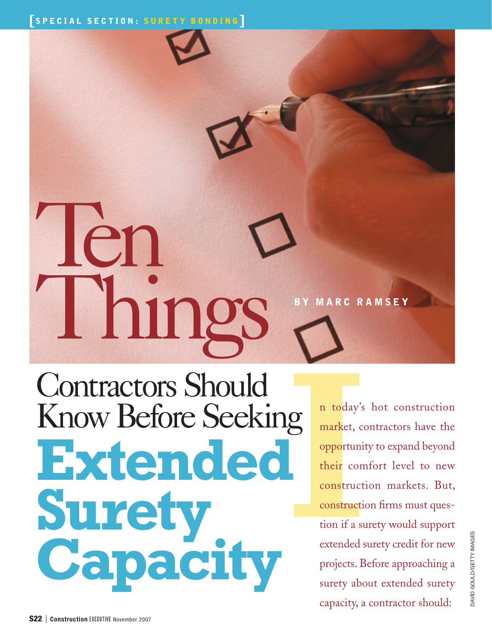## len Things Contractors Should MARC RAMSEY

Know Before Seeking **Extended Surety Capacity**

market, comportuni<br>
market, comportuni<br>
their comportuni<br>
construction if a sume extended n today's hot construction market, contractors have the opportunity to expand beyond their comfort level to new construction markets. But, construction firms must question if a surety would support extended surety credit for new projects. Before approaching a surety about extended surety capacity, a contractor should: